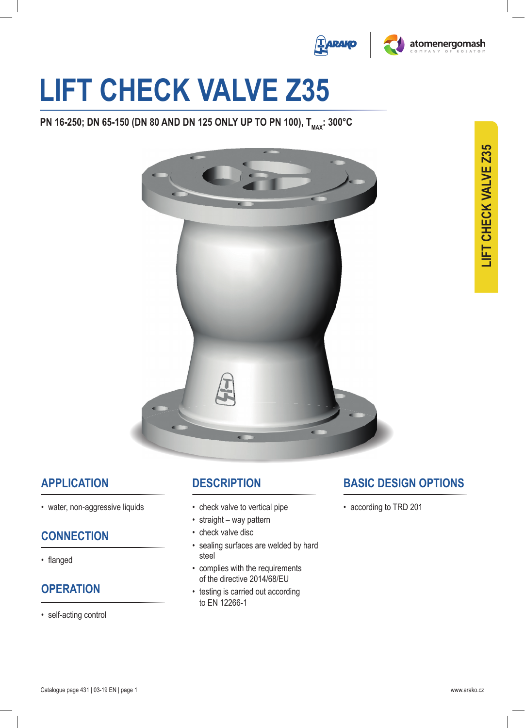



# **lIFT cHEcK VAlVE Z35**

**PN 16-250; DN 65-150 (DN 80 AND DN 125 ONLY UP TO PN 100), T<sub>MAX</sub>: 300°C** 



## **APPlIcATIoN**

• water, non-aggressive liquids

### **coNNEcTIoN**

• flanged

## **oPERATIoN**

• self-acting control

## **dEScRIPTIoN**

- check valve to vertical pipe
- straight way pattern
- check valve disc
- sealing surfaces are welded by hard steel
- complies with the requirements of the directive 2014/68/EU
- testing is carried out according to eN 12266-1

## **BASIc dESIGN oPTIoNS**

• according to TRD 201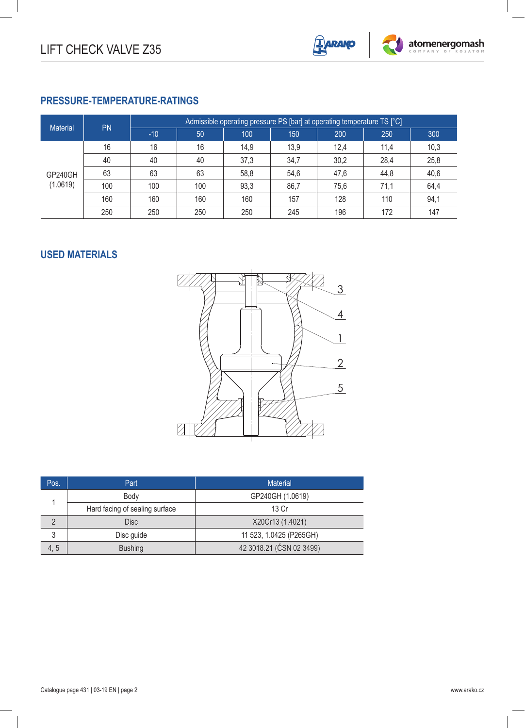

#### **PRESSURE-TEMPERATURE-RATINGS**

| <b>Material</b>     | <b>PN</b> | Admissible operating pressure PS [bar] at operating temperature TS [°C] |     |      |      |      |      |      |  |
|---------------------|-----------|-------------------------------------------------------------------------|-----|------|------|------|------|------|--|
|                     |           | $-10$                                                                   | 50  | 100  | 150  | 200  | 250  | 300  |  |
| GP240GH<br>(1.0619) | 16        | 16                                                                      | 16  | 14,9 | 13,9 | 12,4 | 11,4 | 10,3 |  |
|                     | 40        | 40                                                                      | 40  | 37,3 | 34,7 | 30,2 | 28,4 | 25,8 |  |
|                     | 63        | 63                                                                      | 63  | 58,8 | 54,6 | 47,6 | 44,8 | 40,6 |  |
|                     | 100       | 100                                                                     | 100 | 93,3 | 86,7 | 75,6 | 71,1 | 64,4 |  |
|                     | 160       | 160                                                                     | 160 | 160  | 157  | 128  | 110  | 94,1 |  |
|                     | 250       | 250                                                                     | 250 | 250  | 245  | 196  | 172  | 147  |  |

#### **Used materials**



| Pos. | Part                           | <b>Material</b>          |  |  |  |  |  |
|------|--------------------------------|--------------------------|--|--|--|--|--|
|      | Body                           | GP240GH (1.0619)         |  |  |  |  |  |
|      | Hard facing of sealing surface | 13 Cr                    |  |  |  |  |  |
|      | <b>Disc</b>                    | X20Cr13 (1.4021)         |  |  |  |  |  |
| 3    | Disc guide                     | 11 523, 1.0425 (P265GH)  |  |  |  |  |  |
| 4, 5 | <b>Bushing</b>                 | 42 3018.21 (ČSN 02 3499) |  |  |  |  |  |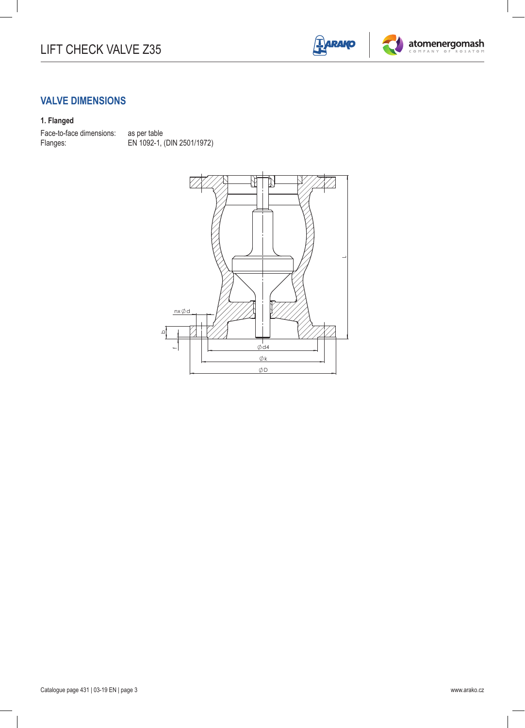



#### **Valve dimensions**

#### **1. Flanged**

Face-to-face dimensions: as per table<br>Flanges: EN 1092-1,

EN 1092-1, (DIN 2501/1972)

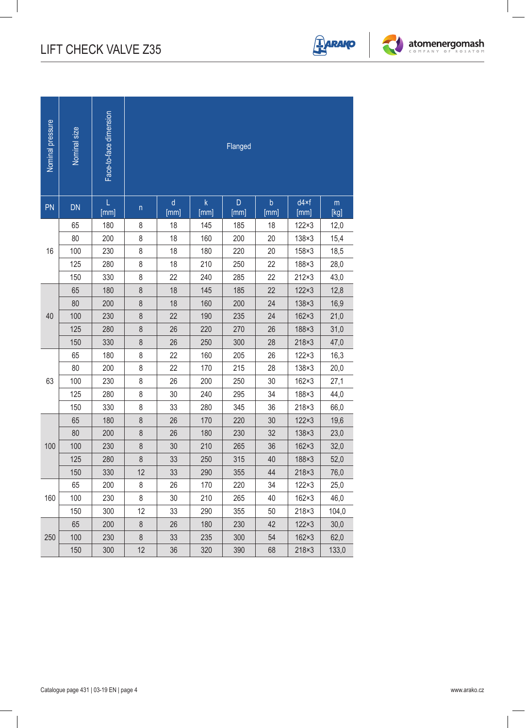

| PN<br>DN   |            | Flanged       |                 |                      |                                                                                                                                                                                                                                                                                                                                                                                                       |                     |                       |                     |  |
|------------|------------|---------------|-----------------|----------------------|-------------------------------------------------------------------------------------------------------------------------------------------------------------------------------------------------------------------------------------------------------------------------------------------------------------------------------------------------------------------------------------------------------|---------------------|-----------------------|---------------------|--|
|            | L<br>[mm]  | $\mathsf{n}$  | $\sf d$<br>[mm] | $\mathsf{k}$<br>[mm] | $\mathsf D$<br>[mm]                                                                                                                                                                                                                                                                                                                                                                                   | $\mathsf b$<br>[mm] | $d4\times f$<br>[mm]  | $\mathsf m$<br>[kg] |  |
| 65         | 180        | 8             | 18              | 145                  | 185                                                                                                                                                                                                                                                                                                                                                                                                   | 18                  | $122\times3$          | 12,0                |  |
| $80\,$     | 200        | 8             | 18              | 160                  | 200                                                                                                                                                                                                                                                                                                                                                                                                   | 20                  | $138\times3$          | 15,4                |  |
| 16<br>100  | 230        | 8             | 18              | 180                  | 220                                                                                                                                                                                                                                                                                                                                                                                                   | 20                  | 158×3                 | 18,5                |  |
| 125        | 280        | 8             | 18              | 210                  |                                                                                                                                                                                                                                                                                                                                                                                                       |                     |                       | 28,0                |  |
| 150        | 330        | 8             | 22              | 240                  |                                                                                                                                                                                                                                                                                                                                                                                                       |                     |                       | 43,0                |  |
| 65         | 180        | $\,8\,$       | 18              | 145                  | 250<br>22<br>188×3<br>285<br>22<br>$212\times3$<br>22<br>$122\times3$<br>185<br>24<br>200<br>$138\times3$<br>24<br>$162\times3$<br>235<br>270<br>26<br>188×3<br>300<br>28<br>$218\times3$<br>205<br>26<br>$122\times3$<br>215<br>28<br>$138\times3$<br>250<br>$30\,$<br>$162\times3$<br>295<br>34<br>188×3<br>36<br>$218\times3$<br>345<br>220<br>$30\,$<br>$122\times3$<br>230<br>32<br>$138\times3$ | 12,8                |                       |                     |  |
| $80\,$     | 200        | $\,8\,$       | 18              | 160                  |                                                                                                                                                                                                                                                                                                                                                                                                       |                     |                       | 16,9                |  |
| 40<br>100  | 230        | $\,8\,$       | 22              | 190                  |                                                                                                                                                                                                                                                                                                                                                                                                       |                     |                       | 21,0                |  |
| 125        | 280        | 8             | 26              | 220                  |                                                                                                                                                                                                                                                                                                                                                                                                       |                     |                       | 31,0                |  |
| 150        | 330        | $\,8\,$       | 26              | 250                  |                                                                                                                                                                                                                                                                                                                                                                                                       |                     |                       | 47,0                |  |
| 65         | 180        | 8             | 22              | 160                  |                                                                                                                                                                                                                                                                                                                                                                                                       |                     |                       | 16,3                |  |
| 80         | 200        | $\,8\,$       | 22              | 170                  |                                                                                                                                                                                                                                                                                                                                                                                                       |                     |                       | 20,0                |  |
| 63<br>100  | 230        | $\,8\,$       | 26              | 200                  |                                                                                                                                                                                                                                                                                                                                                                                                       |                     |                       | 27,1                |  |
| 125        | 280        | $\,8\,$       | $30\,$          | 240                  |                                                                                                                                                                                                                                                                                                                                                                                                       |                     |                       | 44,0                |  |
| 150        | 330        | $\,8\,$       | 33              | 280                  |                                                                                                                                                                                                                                                                                                                                                                                                       |                     |                       | 66,0                |  |
| 65         | 180        | $\,8\,$       | $26\,$          | 170                  |                                                                                                                                                                                                                                                                                                                                                                                                       |                     |                       | 19,6                |  |
| 80         | 200        | $\bf 8$       | 26              | 180                  |                                                                                                                                                                                                                                                                                                                                                                                                       | 36                  |                       | 23,0                |  |
| 100<br>100 | 230        | $\,8\,$       | $30\,$          | 210                  | 265                                                                                                                                                                                                                                                                                                                                                                                                   |                     | $162\times3$          | 32,0                |  |
| 125<br>150 | 280<br>330 | $\bf 8$<br>12 | 33<br>33        | 250<br>290           | 315<br>355                                                                                                                                                                                                                                                                                                                                                                                            | 40<br>$44$          | 188×3<br>$218\times3$ | 52,0<br>76,0        |  |
| 65         | 200        | $\bf 8$       | 26              | 170                  | 220                                                                                                                                                                                                                                                                                                                                                                                                   | 34                  | $122\times3$          | 25,0                |  |
| 160<br>100 | 230        | $\,8\,$       | 30              | 210                  | 265                                                                                                                                                                                                                                                                                                                                                                                                   | 40                  | $162\times3$          | 46,0                |  |
| 150        | 300        | 12            | 33              | 290                  | 355                                                                                                                                                                                                                                                                                                                                                                                                   | 50                  | $218\times3$          | 104,0               |  |
| 65         | 200        | $\bf 8$       | 26              | 180                  | 230                                                                                                                                                                                                                                                                                                                                                                                                   | 42                  | $122\times3$          | 30,0                |  |
| 250<br>100 | 230        | $\bf 8$       | 33              | 235                  | 300                                                                                                                                                                                                                                                                                                                                                                                                   | 54                  | $162\times3$          | 62,0                |  |
| 150        | 300        | 12            | 36              | 320                  | 390                                                                                                                                                                                                                                                                                                                                                                                                   | 68                  | $218\times3$          | 133,0               |  |